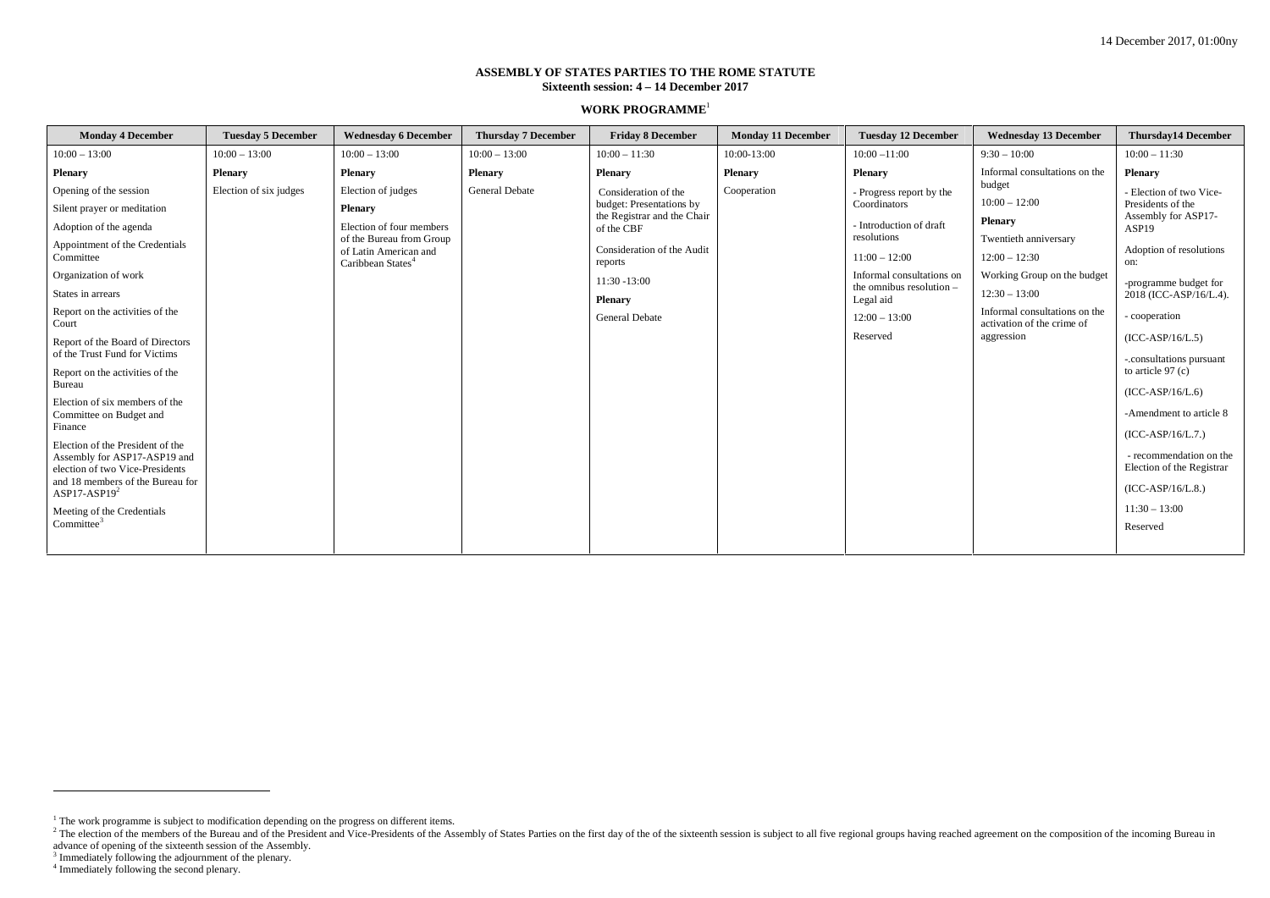## **ASSEMBLY OF STATES PARTIES TO THE ROME STATUTE Sixteenth session: 4 – 14 December 2017**

## **WORK PROGRAMME**<sup>1</sup>

| <b>Monday 4 December</b>                                                                                                                                                                                                                                                                                                                                                                                                                                                                                                                                                        | <b>Tuesday 5 December</b> | <b>Wednesday 6 December</b>                                                                                                                            | <b>Thursday 7 December</b> | <b>Friday 8 December</b>                                                                                                                                                                             | <b>Monday 11 December</b> | <b>Tuesday 12 December</b>                                                                                                                                                                                 | <b>Wednesday 13 December</b>                                                                                                                                                                                    | <b>Thursday14 December</b>                                                                                                                                                                                                                                                                                                                                                                                                    |
|---------------------------------------------------------------------------------------------------------------------------------------------------------------------------------------------------------------------------------------------------------------------------------------------------------------------------------------------------------------------------------------------------------------------------------------------------------------------------------------------------------------------------------------------------------------------------------|---------------------------|--------------------------------------------------------------------------------------------------------------------------------------------------------|----------------------------|------------------------------------------------------------------------------------------------------------------------------------------------------------------------------------------------------|---------------------------|------------------------------------------------------------------------------------------------------------------------------------------------------------------------------------------------------------|-----------------------------------------------------------------------------------------------------------------------------------------------------------------------------------------------------------------|-------------------------------------------------------------------------------------------------------------------------------------------------------------------------------------------------------------------------------------------------------------------------------------------------------------------------------------------------------------------------------------------------------------------------------|
| $10:00 - 13:00$                                                                                                                                                                                                                                                                                                                                                                                                                                                                                                                                                                 | $10:00 - 13:00$           | $10:00 - 13:00$                                                                                                                                        | $10:00 - 13:00$            | $10:00 - 11:30$                                                                                                                                                                                      | 10:00-13:00               | $10:00 - 11:00$                                                                                                                                                                                            | $9:30 - 10:00$                                                                                                                                                                                                  | $10:00 - 11:30$                                                                                                                                                                                                                                                                                                                                                                                                               |
| <b>Plenary</b>                                                                                                                                                                                                                                                                                                                                                                                                                                                                                                                                                                  | Plenary                   | <b>Plenary</b>                                                                                                                                         | Plenary                    | <b>Plenary</b>                                                                                                                                                                                       | <b>Plenary</b>            | Plenary                                                                                                                                                                                                    | Informal consultations on the                                                                                                                                                                                   | <b>Plenary</b>                                                                                                                                                                                                                                                                                                                                                                                                                |
| Opening of the session<br>Silent prayer or meditation<br>Adoption of the agenda<br>Appointment of the Credentials<br>Committee<br>Organization of work<br>States in arrears<br>Report on the activities of the<br>Court<br>Report of the Board of Directors<br>of the Trust Fund for Victims<br>Report on the activities of the<br>Bureau<br>Election of six members of the<br>Committee on Budget and<br>Finance<br>Election of the President of the<br>Assembly for ASP17-ASP19 and<br>election of two Vice-Presidents<br>and 18 members of the Bureau for<br>ASP17-ASP19 $2$ | Election of six judges    | Election of judges<br><b>Plenary</b><br>Election of four members<br>of the Bureau from Group<br>of Latin American and<br>Caribbean States <sup>4</sup> | <b>General Debate</b>      | Consideration of the<br>budget: Presentations by<br>the Registrar and the Chair<br>of the CBF<br>Consideration of the Audit<br>reports<br>$11:30 - 13:00$<br><b>Plenary</b><br><b>General Debate</b> | Cooperation               | - Progress report by the<br>Coordinators<br>- Introduction of draft<br>resolutions<br>$11:00 - 12:00$<br>Informal consultations on<br>the omnibus resolution -<br>Legal aid<br>$12:00 - 13:00$<br>Reserved | budget<br>$10:00 - 12:00$<br>Plenary<br>Twentieth anniversary<br>$12:00 - 12:30$<br>Working Group on the budget<br>$12:30 - 13:00$<br>Informal consultations on the<br>activation of the crime of<br>aggression | - Election of two Vice-<br>Presidents of the<br>Assembly for ASP17-<br>ASP <sub>19</sub><br>Adoption of resolutions<br>on:<br>-programme budget for<br>2018 (ICC-ASP/16/L.4).<br>- cooperation<br>$(ICC-ASP/16/L.5)$<br>-.consultations pursuant<br>to article $97(c)$<br>$(ICC-ASP/16/L.6)$<br>-Amendment to article 8<br>$(ICC-ASP/16/L.7.)$<br>- recommendation on the<br>Election of the Registrar<br>$(ICC-ASP/16/L.8.)$ |
| Meeting of the Credentials<br>Commitee <sup>3</sup>                                                                                                                                                                                                                                                                                                                                                                                                                                                                                                                             |                           |                                                                                                                                                        |                            |                                                                                                                                                                                                      |                           |                                                                                                                                                                                                            |                                                                                                                                                                                                                 | $11:30 - 13:00$<br>Reserved                                                                                                                                                                                                                                                                                                                                                                                                   |
|                                                                                                                                                                                                                                                                                                                                                                                                                                                                                                                                                                                 |                           |                                                                                                                                                        |                            |                                                                                                                                                                                                      |                           |                                                                                                                                                                                                            |                                                                                                                                                                                                                 |                                                                                                                                                                                                                                                                                                                                                                                                                               |

<sup>&</sup>lt;sup>1</sup> The work programme is subject to modification depending on the progress on different items.<br><sup>2</sup> The election of the members of the Bureau and of the President and Vice-Presidents of the Assembly of States Parties on th

 $3$  Immediately following the adjournment of the plenary.  $4$  Immediately following the second plenary.